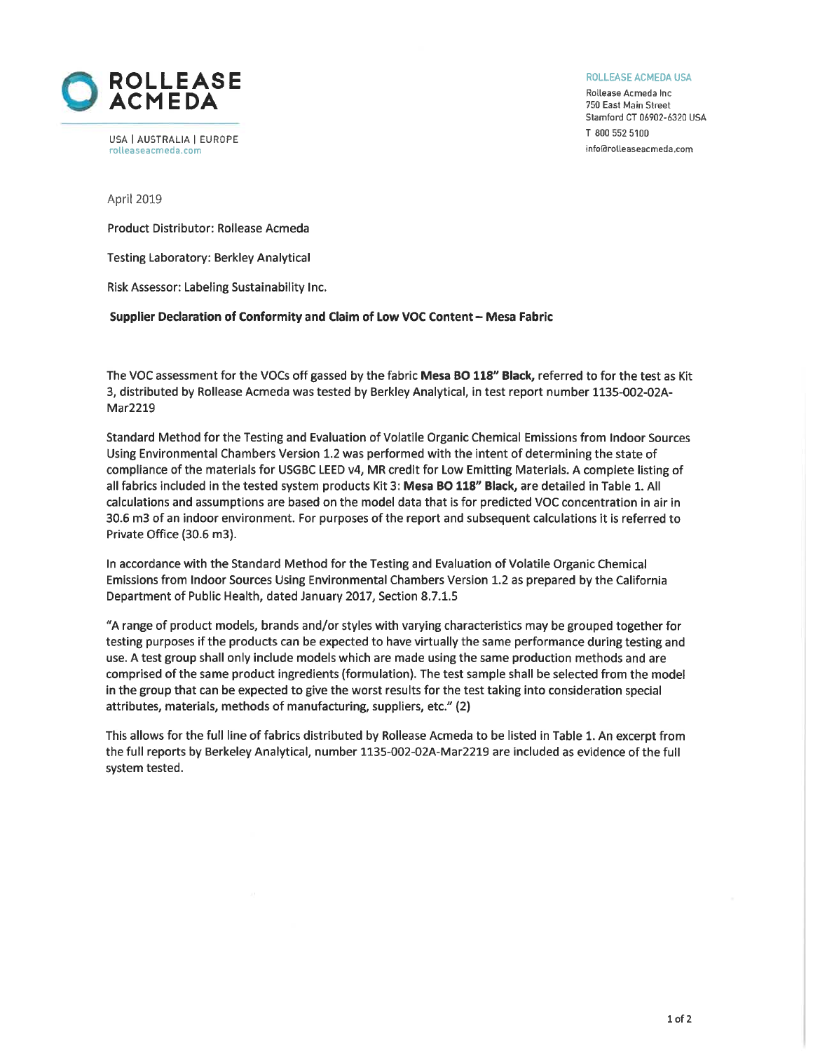

USA | AUSTRALIA | EUROPE rolleaseacmeda.com

ROLLEASE ACMEDA USA

Rollease Acmeda Inc. 750 East Main Street Stamford CT 06902-6320 USA T 800 552 5100 info@rolleaseacmeda.com

April 2019

Product Distributor: Rollease Acmeda

**Testing Laboratory: Berkley Analytical** 

Risk Assessor: Labeling Sustainability Inc.

#### Supplier Declaration of Conformity and Claim of Low VOC Content - Mesa Fabric

The VOC assessment for the VOCs off gassed by the fabric Mesa BO 118" Black, referred to for the test as Kit 3, distributed by Rollease Acmeda was tested by Berkley Analytical, in test report number 1135-002-02A-Mar2219

Standard Method for the Testing and Evaluation of Volatile Organic Chemical Emissions from Indoor Sources Using Environmental Chambers Version 1.2 was performed with the intent of determining the state of compliance of the materials for USGBC LEED v4. MR credit for Low Emitting Materials. A complete listing of all fabrics included in the tested system products Kit 3: Mesa BO 118" Black, are detailed in Table 1. All calculations and assumptions are based on the model data that is for predicted VOC concentration in air in 30.6 m3 of an indoor environment. For purposes of the report and subsequent calculations it is referred to Private Office (30.6 m3).

In accordance with the Standard Method for the Testing and Evaluation of Volatile Organic Chemical Emissions from Indoor Sources Using Environmental Chambers Version 1.2 as prepared by the California Department of Public Health, dated January 2017, Section 8.7.1.5

"A range of product models, brands and/or styles with varying characteristics may be grouped together for testing purposes if the products can be expected to have virtually the same performance during testing and use. A test group shall only include models which are made using the same production methods and are comprised of the same product ingredients (formulation). The test sample shall be selected from the model in the group that can be expected to give the worst results for the test taking into consideration special attributes, materials, methods of manufacturing, suppliers, etc." (2)

This allows for the full line of fabrics distributed by Rollease Acmeda to be listed in Table 1. An excerpt from the full reports by Berkeley Analytical, number 1135-002-02A-Mar2219 are included as evidence of the full system tested.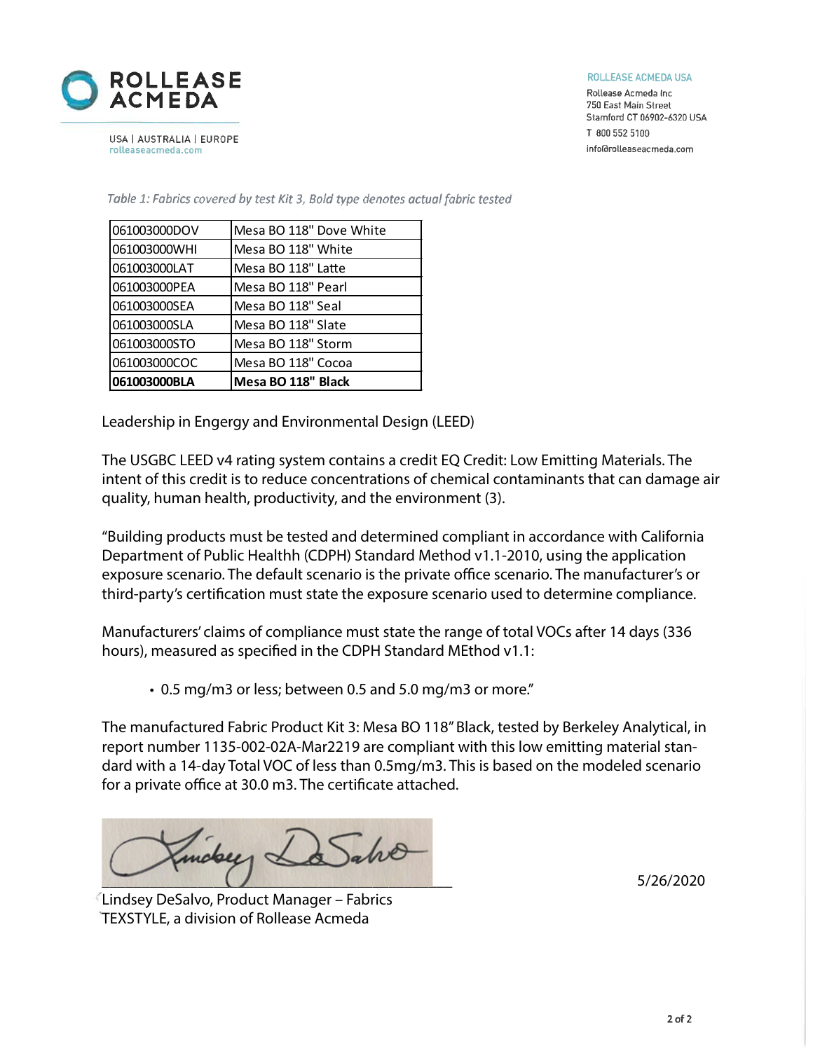

ROLLEASE ACMEDA USA

Rollease Acmeda Inc. 750 East Main Street Stamford CT 06902-6320 USA T 800 552 5100 info@rolleaseacmeda.com

USA | AUSTRALIA | EUROPE rolleaseacmeda.com

| 061003000BLA | Mesa BO 118" Black      |
|--------------|-------------------------|
| 061003000COC | Mesa BO 118" Cocoa      |
| 061003000STO | Mesa BO 118" Storm      |
| 061003000SLA | Mesa BO 118" Slate      |
| 061003000SEA | Mesa BO 118" Seal       |
| 061003000PEA | Mesa BO 118" Pearl      |
| 061003000LAT | Mesa BO 118" Latte      |
| 061003000WHI | Mesa BO 118" White      |
| 061003000DOV | Mesa BO 118" Dove White |

Table 1: Fabrics covered by test Kit 3, Bold type denotes actual fabric tested

Leadership in Engergy and Environmental Design (LEED)

The USGBC LEED v4 rating system contains a credit EQ Credit: Low Emitting Materials. The intent of this credit is to reduce concentrations of chemical contaminants that can damage air quality, human health, productivity, and the environment (3).

"Building products must be tested and determined compliant in accordance with California Department of Public Healthh (CDPH) Standard Method v1.1-2010, using the application exposure scenario. The default scenario is the private office scenario. The manufacturer's or third-party's certification must state the exposure scenario used to determine compliance.

Manufacturers' claims of compliance must state the range of total VOCs after 14 days (336 hours), measured as specified in the CDPH Standard MEthod v1.1:

• 0.5 mg/m3 or less; between 0.5 and 5.0 mg/m3 or more."

The manufactured Fabric Product Kit 3: Mesa BO 118" Black, tested by Berkeley Analytical, in report number 1135-002-02A-Mar2219 are compliant with this low emitting material standard with a 14-day Total VOC of less than 0.5mg/m3. This is based on the modeled scenario for a private office at 30.0 m3. The certificate attached.

inday La Salve  $5/26/2020$ 

Lindsey DeSalvo, Product Manager – Fabrics TEXSTYLE, a division of Rollease Acmeda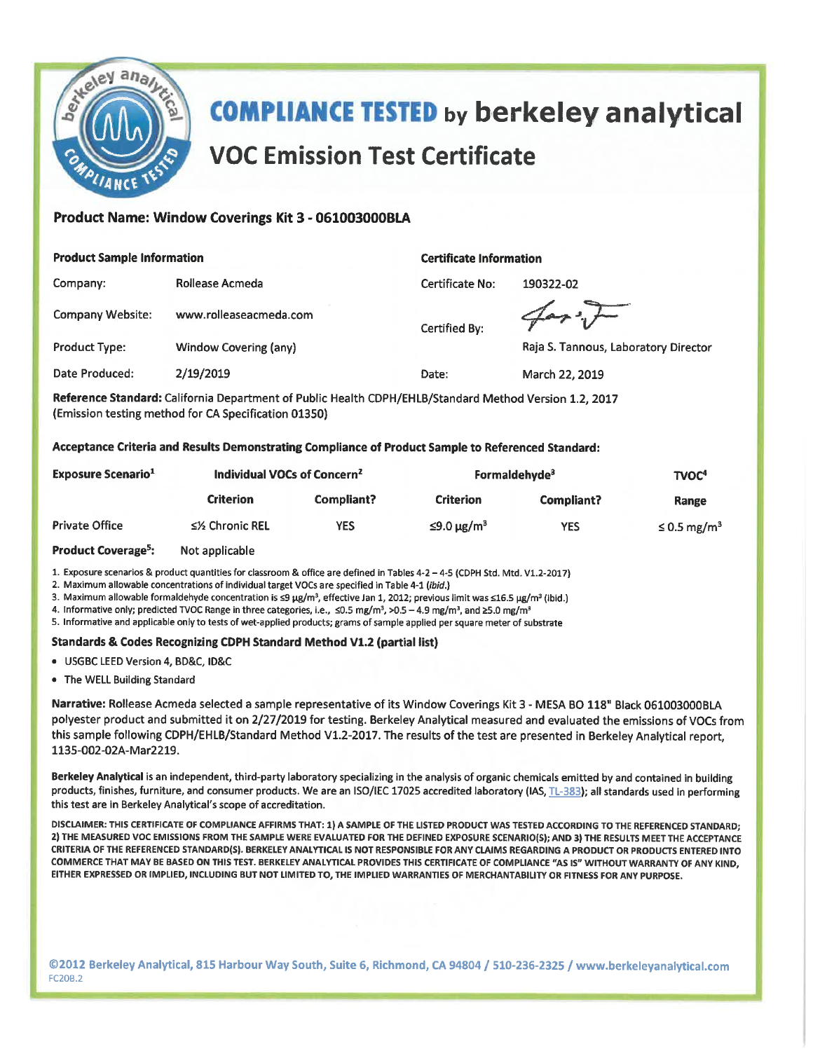

# **COMPLIANCE TESTED by berkeley analytical VOC Emission Test Certificate**

## Product Name: Window Coverings Kit 3 - 061003000BLA

**Rollease Acmeda** 

www.rolleaseacmeda.com

Window Covering (any)

#### **Product Sample Information**

Company:

Company Website:

**Product Type:** 

#### **Certificate Information**

Certified By:

Certificate No: 190322-02

Raja S. Tannous, Laboratory Director

**Date Produced:** 2/19/2019 Date: March 22, 2019

Reference Standard: California Department of Public Health CDPH/EHLB/Standard Method Version 1.2. 2017 (Emission testing method for CA Specification 01350)

Acceptance Criteria and Results Demonstrating Compliance of Product Sample to Referenced Standard:

| <b>Exposure Scenario</b> <sup>1</sup> | Individual VOCs of Concern <sup>2</sup> |            | Formaldehyde <sup>3</sup> |            | TVOC <sup>4</sup>            |  |
|---------------------------------------|-----------------------------------------|------------|---------------------------|------------|------------------------------|--|
|                                       | Criterion                               | Compliant? | <b>Criterion</b>          | Compliant? | Range                        |  |
| <b>Private Office</b>                 | ≤½ Chronic REL                          | <b>YES</b> | $≤9.0 \mu g/m³$           | <b>YES</b> | $\leq$ 0.5 mg/m <sup>3</sup> |  |
|                                       |                                         |            |                           |            |                              |  |

**Product Coverage<sup>5</sup>:** Not applicable

1. Exposure scenarios & product quantities for classroom & office are defined in Tables 4-2 - 4-5 (CDPH Std. Mtd. V1.2-2017)

2. Maximum allowable concentrations of individual target VOCs are specified in Table 4-1 (ibid.)

3. Maximum allowable formaldehyde concentration is ≤9 µg/m<sup>3</sup>, effective Jan 1, 2012; previous limit was ≤16.5 µg/m<sup>3</sup> (ibid.)

4. Informative only; predicted TVOC Range in three categories, i.e.,  $\leq 0.5$  mg/m<sup>3</sup>, >0.5 - 4.9 mg/m<sup>3</sup>, and ≥5.0 mg/m<sup>3</sup>

5. Informative and applicable only to tests of wet-applied products; grams of sample applied per square meter of substrate

#### **Standards & Codes Recognizing CDPH Standard Method V1.2 (partial list)**

· USGBC LEED Version 4, BD&C, ID&C

• The WELL Building Standard

Narrative: Rollease Acmeda selected a sample representative of its Window Coverings Kit 3 - MESA BO 118" Black 061003000BLA polyester product and submitted it on 2/27/2019 for testing. Berkeley Analytical measured and evaluated the emissions of VOCs from this sample following CDPH/EHLB/Standard Method V1.2-2017. The results of the test are presented in Berkeley Analytical report, 1135-002-02A-Mar2219.

Berkeley Analytical is an independent, third-party laboratory specializing in the analysis of organic chemicals emitted by and contained in building products, finishes, furniture, and consumer products. We are an ISO/IEC 17025 accredited laboratory (IAS, TL-383); all standards used in performing this test are in Berkeley Analytical's scope of accreditation.

DISCLAIMER: THIS CERTIFICATE OF COMPLIANCE AFFIRMS THAT: 1) A SAMPLE OF THE LISTED PRODUCT WAS TESTED ACCORDING TO THE REFERENCED STANDARD; 2) THE MEASURED VOC EMISSIONS FROM THE SAMPLE WERE EVALUATED FOR THE DEFINED EXPOSURE SCENARIO(S); AND 3) THE RESULTS MEET THE ACCEPTANCE CRITERIA OF THE REFERENCED STANDARD(S). BERKELEY ANALYTICAL IS NOT RESPONSIBLE FOR ANY CLAIMS REGARDING A PRODUCT OR PRODUCTS ENTERED INTO COMMERCE THAT MAY BE BASED ON THIS TEST. BERKELEY ANALYTICAL PROVIDES THIS CERTIFICATE OF COMPLIANCE "AS IS" WITHOUT WARRANTY OF ANY KIND, EITHER EXPRESSED OR IMPLIED, INCLUDING BUT NOT LIMITED TO, THE IMPLIED WARRANTIES OF MERCHANTABILITY OR FITNESS FOR ANY PURPOSE.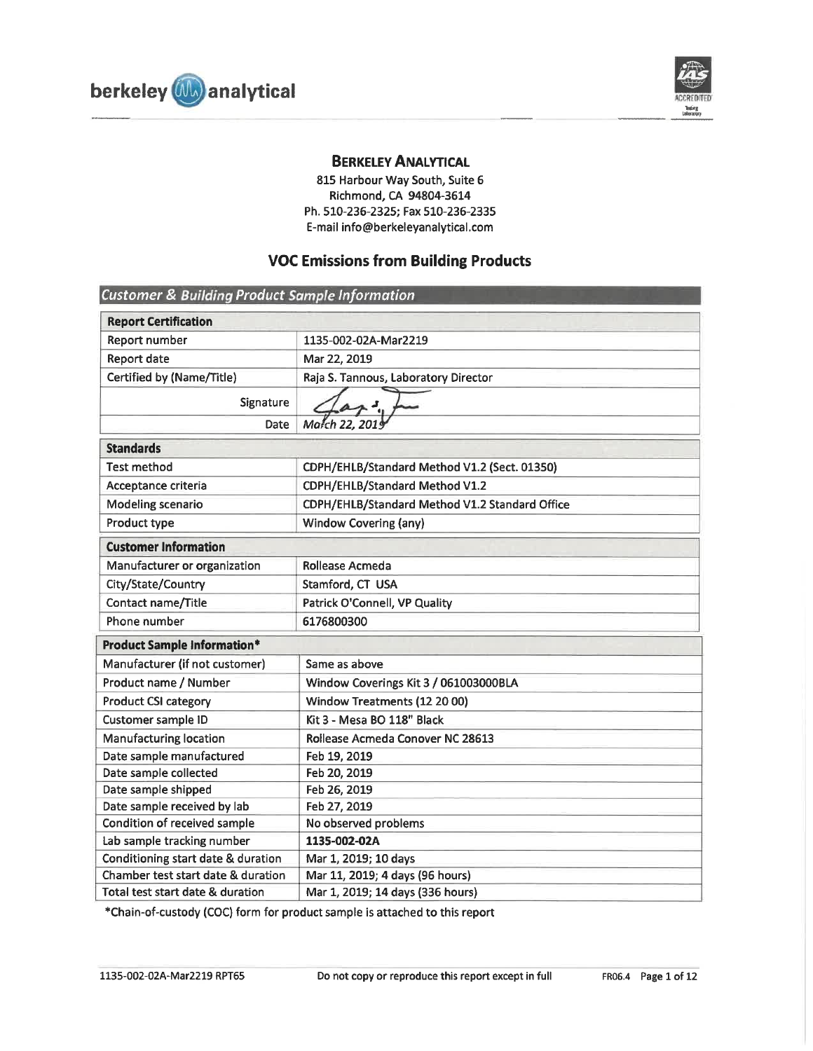

## **BERKELEY ANALYTICAL**

815 Harbour Way South, Suite 6 Richmond, CA 94804-3614 Ph. 510-236-2325; Fax 510-236-2335 E-mail info@berkeleyanalytical.com

# **VOC Emissions from Building Products**

| <b>Customer &amp; Building Product Sample Information</b> |                                                |  |  |  |  |  |
|-----------------------------------------------------------|------------------------------------------------|--|--|--|--|--|
| <b>Report Certification</b>                               |                                                |  |  |  |  |  |
| Report number                                             | 1135-002-02A-Mar2219                           |  |  |  |  |  |
| Report date                                               | Mar 22, 2019                                   |  |  |  |  |  |
| Certified by (Name/Title)                                 | Raja S. Tannous, Laboratory Director           |  |  |  |  |  |
| Signature                                                 |                                                |  |  |  |  |  |
| Date                                                      | March 22, 2019                                 |  |  |  |  |  |
| <b>Standards</b>                                          |                                                |  |  |  |  |  |
| <b>Test method</b>                                        | CDPH/EHLB/Standard Method V1.2 (Sect. 01350)   |  |  |  |  |  |
| Acceptance criteria                                       | CDPH/EHLB/Standard Method V1.2                 |  |  |  |  |  |
| <b>Modeling scenario</b>                                  | CDPH/EHLB/Standard Method V1.2 Standard Office |  |  |  |  |  |
| Product type                                              | Window Covering (any)                          |  |  |  |  |  |
| <b>Customer Information</b>                               |                                                |  |  |  |  |  |
| Manufacturer or organization                              | Rollease Acmeda                                |  |  |  |  |  |
| City/State/Country                                        | Stamford, CT USA                               |  |  |  |  |  |
| Contact name/Title                                        | Patrick O'Connell, VP Quality                  |  |  |  |  |  |
| Phone number                                              | 6176800300                                     |  |  |  |  |  |
| <b>Product Sample Information*</b>                        |                                                |  |  |  |  |  |
| Manufacturer (if not customer)                            | Same as above                                  |  |  |  |  |  |
| Product name / Number                                     | Window Coverings Kit 3 / 061003000BLA          |  |  |  |  |  |
| <b>Product CSI category</b>                               | Window Treatments (12 20 00)                   |  |  |  |  |  |
| Customer sample ID                                        | Kit 3 - Mesa BO 118" Black                     |  |  |  |  |  |
| <b>Manufacturing location</b>                             | Rollease Acmeda Conover NC 28613               |  |  |  |  |  |
| Date sample manufactured                                  | Feb 19, 2019                                   |  |  |  |  |  |
| Date sample collected                                     | Feb 20, 2019                                   |  |  |  |  |  |
| Date sample shipped                                       | Feb 26, 2019                                   |  |  |  |  |  |
| Date sample received by lab                               | Feb 27, 2019                                   |  |  |  |  |  |
| Condition of received sample                              | No observed problems                           |  |  |  |  |  |
| Lab sample tracking number                                | 1135-002-02A                                   |  |  |  |  |  |
| Conditioning start date & duration                        | Mar 1, 2019; 10 days                           |  |  |  |  |  |
| Chamber test start date & duration                        | Mar 11, 2019; 4 days (96 hours)                |  |  |  |  |  |
| Total test start date & duration                          | Mar 1, 2019; 14 days (336 hours)               |  |  |  |  |  |

\*Chain-of-custody (COC) form for product sample is attached to this report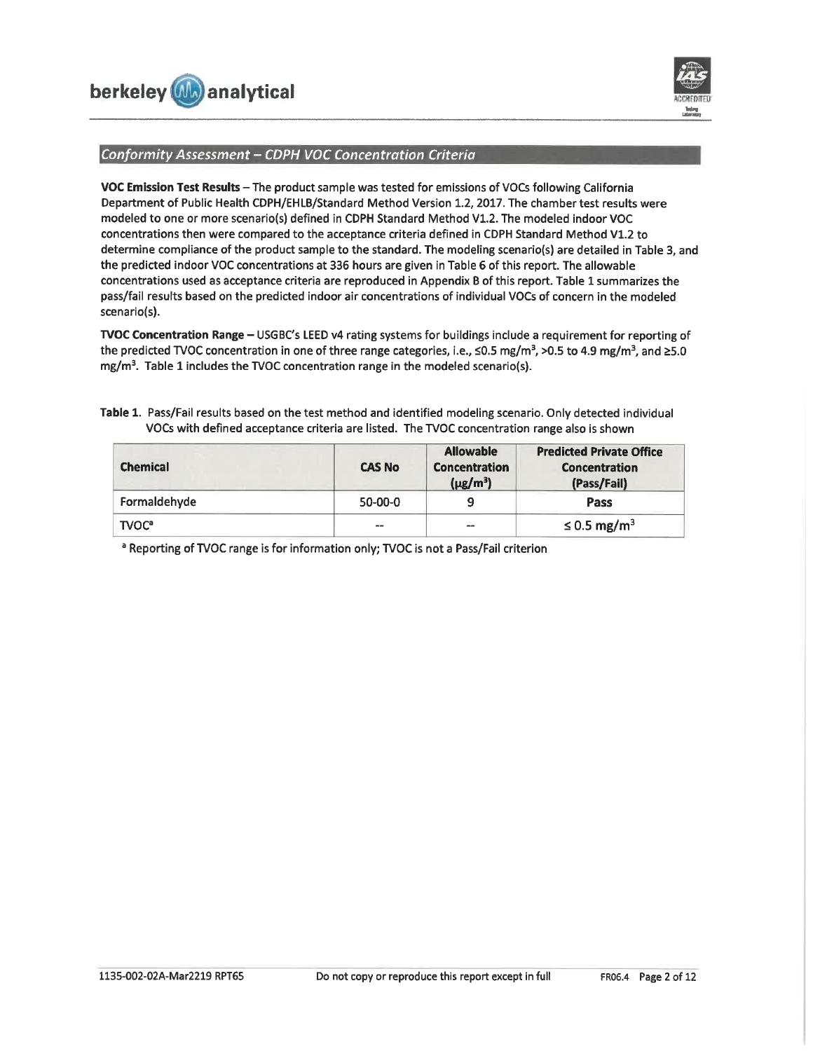



### Conformity Assessment - CDPH VOC Concentration Criteria

VOC Emission Test Results - The product sample was tested for emissions of VOCs following California Department of Public Health CDPH/EHLB/Standard Method Version 1.2, 2017. The chamber test results were modeled to one or more scenario(s) defined in CDPH Standard Method V1.2. The modeled indoor VOC concentrations then were compared to the acceptance criteria defined in CDPH Standard Method V1.2 to determine compliance of the product sample to the standard. The modeling scenario(s) are detailed in Table 3, and the predicted indoor VOC concentrations at 336 hours are given in Table 6 of this report. The allowable concentrations used as acceptance criteria are reproduced in Appendix B of this report. Table 1 summarizes the pass/fail results based on the predicted indoor air concentrations of individual VOCs of concern in the modeled scenario(s).

TVOC Concentration Range - USGBC's LEED v4 rating systems for buildings include a requirement for reporting of the predicted TVOC concentration in one of three range categories, i.e.,  $\leq$ 0.5 mg/m<sup>3</sup>, >0.5 to 4.9 mg/m<sup>3</sup>, and ≥5.0 mg/m<sup>3</sup>. Table 1 includes the TVOC concentration range in the modeled scenario(s).

| <b>Chemical</b>         | <b>CAS No</b> | <b>Allowable</b><br><b>Concentration</b><br>$(\mu g/m^3)$ | <b>Predicted Private Office</b><br><b>Concentration</b><br>(Pass/Fail) |
|-------------------------|---------------|-----------------------------------------------------------|------------------------------------------------------------------------|
| Formaldehyde            | $50 - 00 - 0$ | q                                                         | Pass                                                                   |
| <b>TVOC<sup>a</sup></b> | $- -$         | --                                                        | $\leq$ 0.5 mg/m <sup>3</sup>                                           |

Table 1. Pass/Fail results based on the test method and identified modeling scenario. Only detected individual VOCs with defined acceptance criteria are listed. The TVOC concentration range also is shown

<sup>a</sup> Reporting of TVOC range is for information only; TVOC is not a Pass/Fail criterion